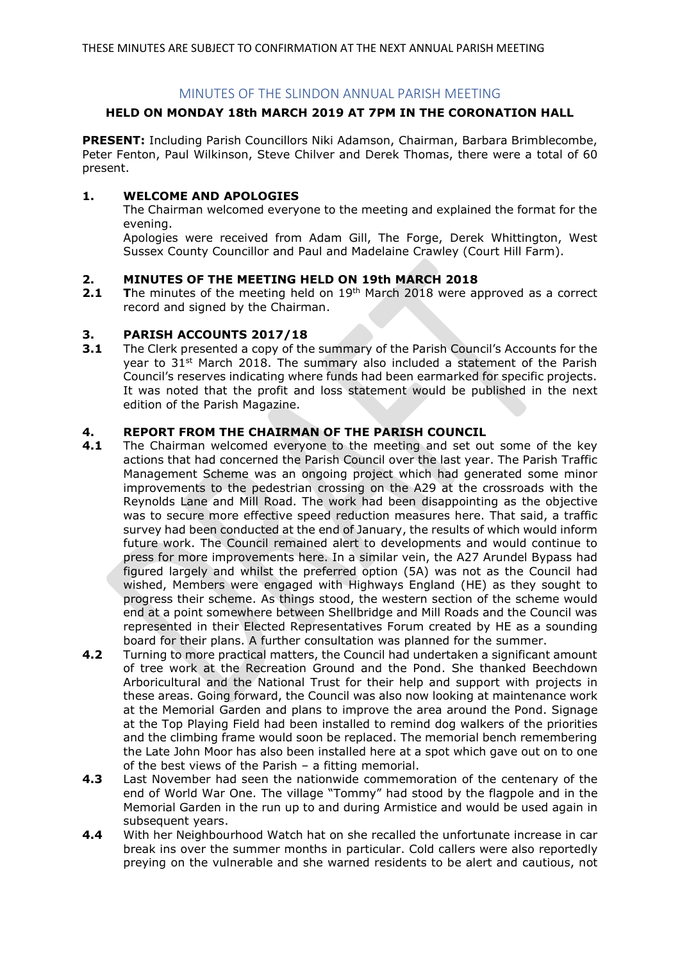# MINUTES OF THE SLINDON ANNUAL PARISH MEETING

## **HELD ON MONDAY 18th MARCH 2019 AT 7PM IN THE CORONATION HALL**

**PRESENT:** Including Parish Councillors Niki Adamson, Chairman, Barbara Brimblecombe, Peter Fenton, Paul Wilkinson, Steve Chilver and Derek Thomas, there were a total of 60 present.

## **1. WELCOME AND APOLOGIES**

The Chairman welcomed everyone to the meeting and explained the format for the evening.

Apologies were received from Adam Gill, The Forge, Derek Whittington, West Sussex County Councillor and Paul and Madelaine Crawley (Court Hill Farm).

## **2. MINUTES OF THE MEETING HELD ON 19th MARCH 2018**

**2.1 The minutes of the meeting held on 19th March 2018 were approved as a correct** record and signed by the Chairman.

## **3. PARISH ACCOUNTS 2017/18**

**3.1** The Clerk presented a copy of the summary of the Parish Council's Accounts for the year to 31st March 2018. The summary also included a statement of the Parish Council's reserves indicating where funds had been earmarked for specific projects. It was noted that the profit and loss statement would be published in the next edition of the Parish Magazine.

## **4. REPORT FROM THE CHAIRMAN OF THE PARISH COUNCIL**

- **4.1** The Chairman welcomed everyone to the meeting and set out some of the key actions that had concerned the Parish Council over the last year. The Parish Traffic Management Scheme was an ongoing project which had generated some minor improvements to the pedestrian crossing on the A29 at the crossroads with the Reynolds Lane and Mill Road. The work had been disappointing as the objective was to secure more effective speed reduction measures here. That said, a traffic survey had been conducted at the end of January, the results of which would inform future work. The Council remained alert to developments and would continue to press for more improvements here. In a similar vein, the A27 Arundel Bypass had figured largely and whilst the preferred option (5A) was not as the Council had wished, Members were engaged with Highways England (HE) as they sought to progress their scheme. As things stood, the western section of the scheme would end at a point somewhere between Shellbridge and Mill Roads and the Council was represented in their Elected Representatives Forum created by HE as a sounding board for their plans. A further consultation was planned for the summer.
- **4.2** Turning to more practical matters, the Council had undertaken a significant amount of tree work at the Recreation Ground and the Pond. She thanked Beechdown Arboricultural and the National Trust for their help and support with projects in these areas. Going forward, the Council was also now looking at maintenance work at the Memorial Garden and plans to improve the area around the Pond. Signage at the Top Playing Field had been installed to remind dog walkers of the priorities and the climbing frame would soon be replaced. The memorial bench remembering the Late John Moor has also been installed here at a spot which gave out on to one of the best views of the Parish – a fitting memorial.
- **4.3** Last November had seen the nationwide commemoration of the centenary of the end of World War One. The village "Tommy" had stood by the flagpole and in the Memorial Garden in the run up to and during Armistice and would be used again in subsequent years.
- **4.4** With her Neighbourhood Watch hat on she recalled the unfortunate increase in car break ins over the summer months in particular. Cold callers were also reportedly preying on the vulnerable and she warned residents to be alert and cautious, not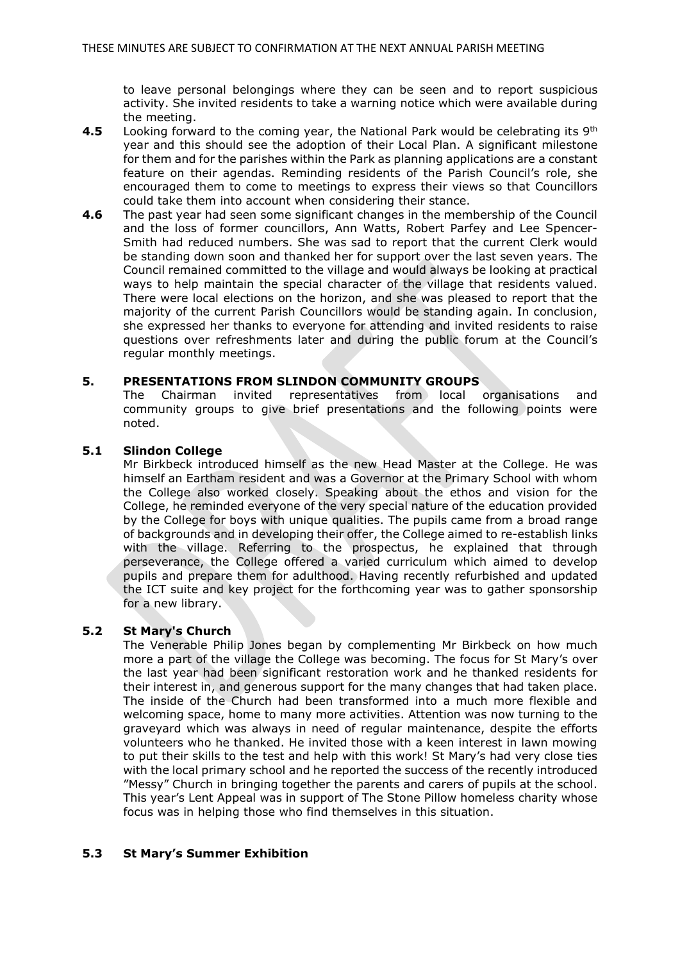to leave personal belongings where they can be seen and to report suspicious activity. She invited residents to take a warning notice which were available during the meeting.

- **4.5** Looking forward to the coming year, the National Park would be celebrating its 9th year and this should see the adoption of their Local Plan. A significant milestone for them and for the parishes within the Park as planning applications are a constant feature on their agendas. Reminding residents of the Parish Council's role, she encouraged them to come to meetings to express their views so that Councillors could take them into account when considering their stance.
- **4.6** The past year had seen some significant changes in the membership of the Council and the loss of former councillors, Ann Watts, Robert Parfey and Lee Spencer-Smith had reduced numbers. She was sad to report that the current Clerk would be standing down soon and thanked her for support over the last seven years. The Council remained committed to the village and would always be looking at practical ways to help maintain the special character of the village that residents valued. There were local elections on the horizon, and she was pleased to report that the majority of the current Parish Councillors would be standing again. In conclusion, she expressed her thanks to everyone for attending and invited residents to raise questions over refreshments later and during the public forum at the Council's regular monthly meetings.

## **5. PRESENTATIONS FROM SLINDON COMMUNITY GROUPS**

The Chairman invited representatives from local organisations and community groups to give brief presentations and the following points were noted.

#### **5.1 Slindon College**

Mr Birkbeck introduced himself as the new Head Master at the College. He was himself an Eartham resident and was a Governor at the Primary School with whom the College also worked closely. Speaking about the ethos and vision for the College, he reminded everyone of the very special nature of the education provided by the College for boys with unique qualities. The pupils came from a broad range of backgrounds and in developing their offer, the College aimed to re-establish links with the village. Referring to the prospectus, he explained that through perseverance, the College offered a varied curriculum which aimed to develop pupils and prepare them for adulthood. Having recently refurbished and updated the ICT suite and key project for the forthcoming year was to gather sponsorship for a new library.

#### **5.2 St Mary's Church**

The Venerable Philip Jones began by complementing Mr Birkbeck on how much more a part of the village the College was becoming. The focus for St Mary's over the last year had been significant restoration work and he thanked residents for their interest in, and generous support for the many changes that had taken place. The inside of the Church had been transformed into a much more flexible and welcoming space, home to many more activities. Attention was now turning to the graveyard which was always in need of regular maintenance, despite the efforts volunteers who he thanked. He invited those with a keen interest in lawn mowing to put their skills to the test and help with this work! St Mary's had very close ties with the local primary school and he reported the success of the recently introduced "Messy" Church in bringing together the parents and carers of pupils at the school. This year's Lent Appeal was in support of The Stone Pillow homeless charity whose focus was in helping those who find themselves in this situation.

#### **5.3 St Mary's Summer Exhibition**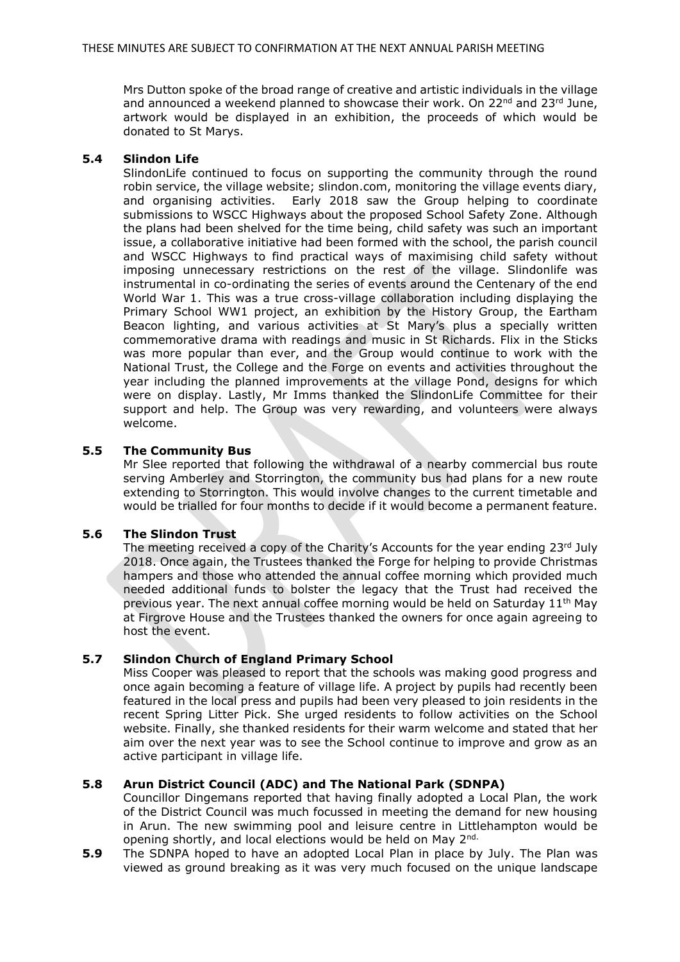Mrs Dutton spoke of the broad range of creative and artistic individuals in the village and announced a weekend planned to showcase their work. On  $22^{nd}$  and  $23^{rd}$  June, artwork would be displayed in an exhibition, the proceeds of which would be donated to St Marys.

#### **5.4 Slindon Life**

SlindonLife continued to focus on supporting the community through the round robin service, the village website; slindon.com, monitoring the village events diary, and organising activities. Early 2018 saw the Group helping to coordinate submissions to WSCC Highways about the proposed School Safety Zone. Although the plans had been shelved for the time being, child safety was such an important issue, a collaborative initiative had been formed with the school, the parish council and WSCC Highways to find practical ways of maximising child safety without imposing unnecessary restrictions on the rest of the village. Slindonlife was instrumental in co-ordinating the series of events around the Centenary of the end World War 1. This was a true cross-village collaboration including displaying the Primary School WW1 project, an exhibition by the History Group, the Eartham Beacon lighting, and various activities at St Mary's plus a specially written commemorative drama with readings and music in St Richards. Flix in the Sticks was more popular than ever, and the Group would continue to work with the National Trust, the College and the Forge on events and activities throughout the year including the planned improvements at the village Pond, designs for which were on display. Lastly, Mr Imms thanked the SlindonLife Committee for their support and help. The Group was very rewarding, and volunteers were always welcome.

## **5.5 The Community Bus**

Mr Slee reported that following the withdrawal of a nearby commercial bus route serving Amberley and Storrington, the community bus had plans for a new route extending to Storrington. This would involve changes to the current timetable and would be trialled for four months to decide if it would become a permanent feature.

#### **5.6 The Slindon Trust**

The meeting received a copy of the Charity's Accounts for the year ending 23rd July 2018. Once again, the Trustees thanked the Forge for helping to provide Christmas hampers and those who attended the annual coffee morning which provided much needed additional funds to bolster the legacy that the Trust had received the previous year. The next annual coffee morning would be held on Saturday  $11<sup>th</sup>$  May at Firgrove House and the Trustees thanked the owners for once again agreeing to host the event.

#### **5.7 Slindon Church of England Primary School**

Miss Cooper was pleased to report that the schools was making good progress and once again becoming a feature of village life. A project by pupils had recently been featured in the local press and pupils had been very pleased to join residents in the recent Spring Litter Pick. She urged residents to follow activities on the School website. Finally, she thanked residents for their warm welcome and stated that her aim over the next year was to see the School continue to improve and grow as an active participant in village life.

#### **5.8 Arun District Council (ADC) and The National Park (SDNPA)**

Councillor Dingemans reported that having finally adopted a Local Plan, the work of the District Council was much focussed in meeting the demand for new housing in Arun. The new swimming pool and leisure centre in Littlehampton would be opening shortly, and local elections would be held on May 2nd.

**5.9** The SDNPA hoped to have an adopted Local Plan in place by July. The Plan was viewed as ground breaking as it was very much focused on the unique landscape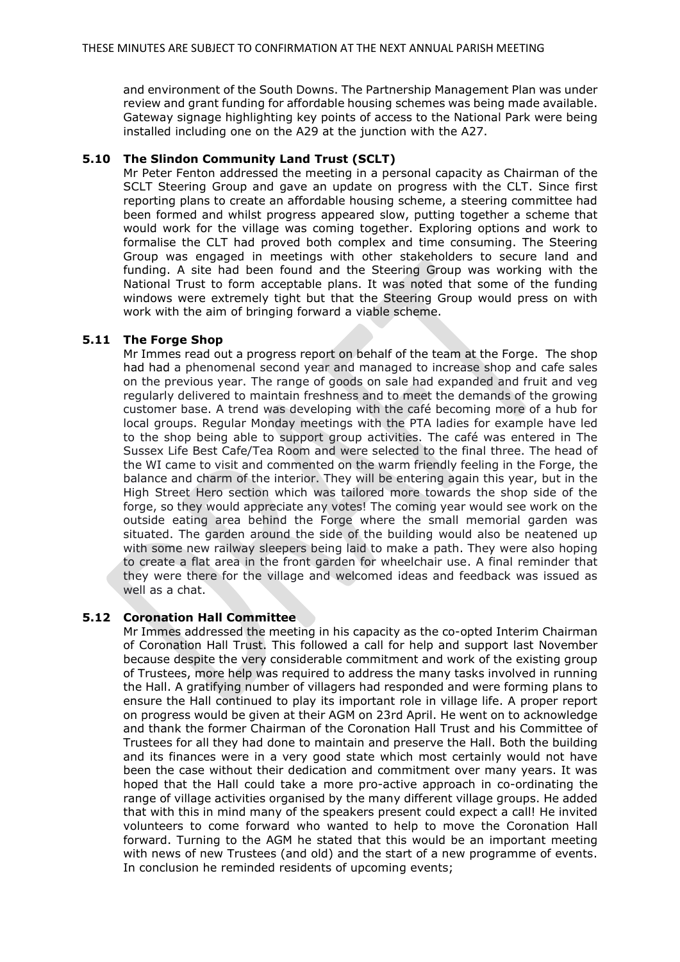and environment of the South Downs. The Partnership Management Plan was under review and grant funding for affordable housing schemes was being made available. Gateway signage highlighting key points of access to the National Park were being installed including one on the A29 at the junction with the A27.

### **5.10 The Slindon Community Land Trust (SCLT)**

Mr Peter Fenton addressed the meeting in a personal capacity as Chairman of the SCLT Steering Group and gave an update on progress with the CLT. Since first reporting plans to create an affordable housing scheme, a steering committee had been formed and whilst progress appeared slow, putting together a scheme that would work for the village was coming together. Exploring options and work to formalise the CLT had proved both complex and time consuming. The Steering Group was engaged in meetings with other stakeholders to secure land and funding. A site had been found and the Steering Group was working with the National Trust to form acceptable plans. It was noted that some of the funding windows were extremely tight but that the Steering Group would press on with work with the aim of bringing forward a viable scheme.

## **5.11 The Forge Shop**

Mr Immes read out a progress report on behalf of the team at the Forge. The shop had had a phenomenal second year and managed to increase shop and cafe sales on the previous year. The range of goods on sale had expanded and fruit and veg regularly delivered to maintain freshness and to meet the demands of the growing customer base. A trend was developing with the café becoming more of a hub for local groups. Regular Monday meetings with the PTA ladies for example have led to the shop being able to support group activities. The café was entered in The Sussex Life Best Cafe/Tea Room and were selected to the final three. The head of the WI came to visit and commented on the warm friendly feeling in the Forge, the balance and charm of the interior. They will be entering again this year, but in the High Street Hero section which was tailored more towards the shop side of the forge, so they would appreciate any votes! The coming year would see work on the outside eating area behind the Forge where the small memorial garden was situated. The garden around the side of the building would also be neatened up with some new railway sleepers being laid to make a path. They were also hoping to create a flat area in the front garden for wheelchair use. A final reminder that they were there for the village and welcomed ideas and feedback was issued as well as a chat.

#### **5.12 Coronation Hall Committee**

Mr Immes addressed the meeting in his capacity as the co-opted Interim Chairman of Coronation Hall Trust. This followed a call for help and support last November because despite the very considerable commitment and work of the existing group of Trustees, more help was required to address the many tasks involved in running the Hall. A gratifying number of villagers had responded and were forming plans to ensure the Hall continued to play its important role in village life. A proper report on progress would be given at their AGM on 23rd April. He went on to acknowledge and thank the former Chairman of the Coronation Hall Trust and his Committee of Trustees for all they had done to maintain and preserve the Hall. Both the building and its finances were in a very good state which most certainly would not have been the case without their dedication and commitment over many years. It was hoped that the Hall could take a more pro-active approach in co-ordinating the range of village activities organised by the many different village groups. He added that with this in mind many of the speakers present could expect a call! He invited volunteers to come forward who wanted to help to move the Coronation Hall forward. Turning to the AGM he stated that this would be an important meeting with news of new Trustees (and old) and the start of a new programme of events. In conclusion he reminded residents of upcoming events;